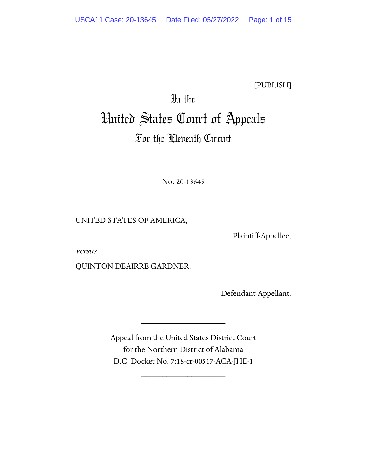[PUBLISH]

# In the United States Court of Appeals

# For the Eleventh Circuit

No. 20-13645

\_\_\_\_\_\_\_\_\_\_\_\_\_\_\_\_\_\_\_\_

\_\_\_\_\_\_\_\_\_\_\_\_\_\_\_\_\_\_\_\_

UNITED STATES OF AMERICA,

Plaintiff-Appellee,

versus

QUINTON DEAIRRE GARDNER,

Defendant-Appellant.

Appeal from the United States District Court for the Northern District of Alabama D.C. Docket No. 7:18-cr-00517-ACA-JHE-1

\_\_\_\_\_\_\_\_\_\_\_\_\_\_\_\_\_\_\_\_

\_\_\_\_\_\_\_\_\_\_\_\_\_\_\_\_\_\_\_\_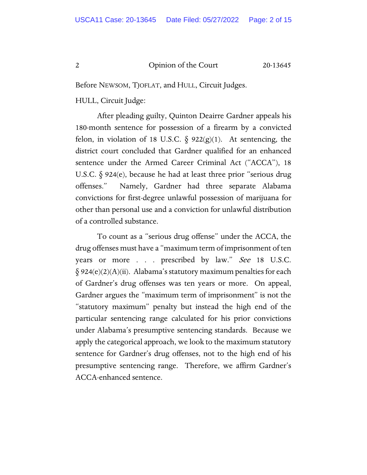Before NEWSOM, TJOFLAT, and HULL, Circuit Judges.

HULL, Circuit Judge:

After pleading guilty, Quinton Deairre Gardner appeals his 180-month sentence for possession of a firearm by a convicted felon, in violation of 18 U.S.C.  $\delta$  922(g)(1). At sentencing, the district court concluded that Gardner qualified for an enhanced sentence under the Armed Career Criminal Act ("ACCA"), 18 U.S.C. § 924(e), because he had at least three prior "serious drug offenses." Namely, Gardner had three separate Alabama convictions for first-degree unlawful possession of marijuana for other than personal use and a conviction for unlawful distribution of a controlled substance.

To count as a "serious drug offense" under the ACCA, the drug offenses must have a "maximum term of imprisonment of ten years or more . . . prescribed by law." See 18 U.S.C.  $\S 924(e)(2)(A)(ii)$ . Alabama's statutory maximum penalties for each of Gardner's drug offenses was ten years or more. On appeal, Gardner argues the "maximum term of imprisonment" is not the "statutory maximum" penalty but instead the high end of the particular sentencing range calculated for his prior convictions under Alabama's presumptive sentencing standards. Because we apply the categorical approach, we look to the maximum statutory sentence for Gardner's drug offenses, not to the high end of his presumptive sentencing range. Therefore, we affirm Gardner's ACCA-enhanced sentence.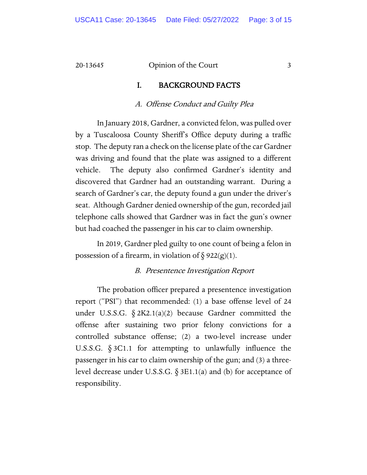#### I. BACKGROUND FACTS

#### A. Offense Conduct and Guilty Plea

In January 2018, Gardner, a convicted felon, was pulled over by a Tuscaloosa County Sheriff's Office deputy during a traffic stop. The deputy ran a check on the license plate of the car Gardner was driving and found that the plate was assigned to a different vehicle. The deputy also confirmed Gardner's identity and discovered that Gardner had an outstanding warrant. During a search of Gardner's car, the deputy found a gun under the driver's seat. Although Gardner denied ownership of the gun, recorded jail telephone calls showed that Gardner was in fact the gun's owner but had coached the passenger in his car to claim ownership.

In 2019, Gardner pled guilty to one count of being a felon in possession of a firearm, in violation of  $\S 922(g)(1)$ .

#### B. Presentence Investigation Report

The probation officer prepared a presentence investigation report ("PSI") that recommended: (1) a base offense level of 24 under U.S.S.G.  $\S 2K2.1(a)(2)$  because Gardner committed the offense after sustaining two prior felony convictions for a controlled substance offense; (2) a two-level increase under U.S.S.G. § 3C1.1 for attempting to unlawfully influence the passenger in his car to claim ownership of the gun; and (3) a threelevel decrease under U.S.S.G.  $\S 3E1.1(a)$  and (b) for acceptance of responsibility.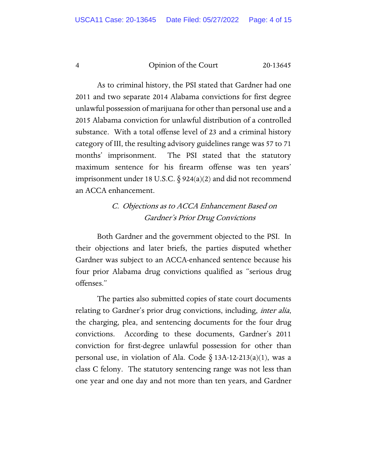As to criminal history, the PSI stated that Gardner had one 2011 and two separate 2014 Alabama convictions for first degree unlawful possession of marijuana for other than personal use and a 2015 Alabama conviction for unlawful distribution of a controlled substance. With a total offense level of 23 and a criminal history category of III, the resulting advisory guidelines range was 57 to 71 months' imprisonment. The PSI stated that the statutory maximum sentence for his firearm offense was ten years' imprisonment under 18 U.S.C.  $\S$  924(a)(2) and did not recommend an ACCA enhancement.

# C. Objections as to ACCA Enhancement Based on Gardner's Prior Drug Convictions

Both Gardner and the government objected to the PSI. In their objections and later briefs, the parties disputed whether Gardner was subject to an ACCA-enhanced sentence because his four prior Alabama drug convictions qualified as "serious drug offenses."

The parties also submitted copies of state court documents relating to Gardner's prior drug convictions, including, *inter alia*, the charging, plea, and sentencing documents for the four drug convictions. According to these documents, Gardner's 2011 conviction for first-degree unlawful possession for other than personal use, in violation of Ala. Code  $\S$  13A-12-213(a)(1), was a class C felony. The statutory sentencing range was not less than one year and one day and not more than ten years, and Gardner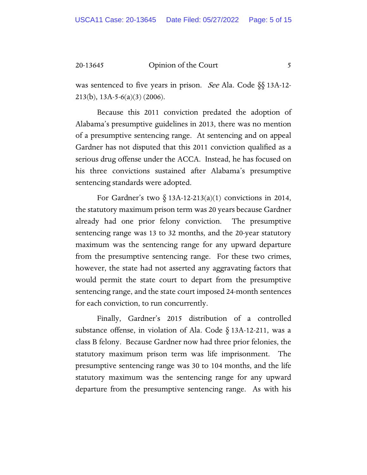was sentenced to five years in prison. *See* Ala. Code §§ 13A-12-213(b), 13A-5-6(a)(3) (2006).

Because this 2011 conviction predated the adoption of Alabama's presumptive guidelines in 2013, there was no mention of a presumptive sentencing range. At sentencing and on appeal Gardner has not disputed that this 2011 conviction qualified as a serious drug offense under the ACCA. Instead, he has focused on his three convictions sustained after Alabama's presumptive sentencing standards were adopted.

For Gardner's two  $\S$  13A-12-213(a)(1) convictions in 2014, the statutory maximum prison term was 20 years because Gardner already had one prior felony conviction. The presumptive sentencing range was 13 to 32 months, and the 20-year statutory maximum was the sentencing range for any upward departure from the presumptive sentencing range. For these two crimes, however, the state had not asserted any aggravating factors that would permit the state court to depart from the presumptive sentencing range, and the state court imposed 24-month sentences for each conviction, to run concurrently.

Finally, Gardner's 2015 distribution of a controlled substance offense, in violation of Ala. Code § 13A-12-211, was a class B felony. Because Gardner now had three prior felonies, the statutory maximum prison term was life imprisonment. The presumptive sentencing range was 30 to 104 months, and the life statutory maximum was the sentencing range for any upward departure from the presumptive sentencing range. As with his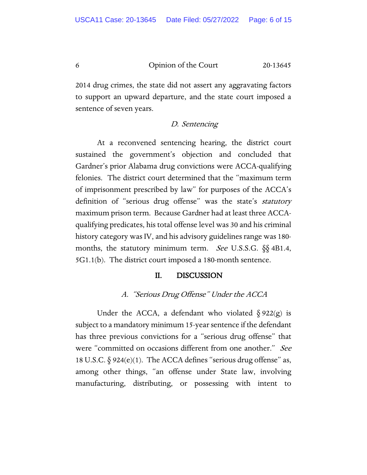2014 drug crimes, the state did not assert any aggravating factors to support an upward departure, and the state court imposed a sentence of seven years.

#### D. Sentencing

At a reconvened sentencing hearing, the district court sustained the government's objection and concluded that Gardner's prior Alabama drug convictions were ACCA-qualifying felonies. The district court determined that the "maximum term of imprisonment prescribed by law" for purposes of the ACCA's definition of "serious drug offense" was the state's *statutory* maximum prison term. Because Gardner had at least three ACCAqualifying predicates, his total offense level was 30 and his criminal history category was IV, and his advisory guidelines range was 180 months, the statutory minimum term. See U.S.S.G. §§ 4B1.4, 5G1.1(b). The district court imposed a 180-month sentence.

#### II. DISCUSSION

## A. "Serious Drug Offense" Under the ACCA

Under the ACCA, a defendant who violated  $\S 922(g)$  is subject to a mandatory minimum 15-year sentence if the defendant has three previous convictions for a "serious drug offense" that were "committed on occasions different from one another." See 18 U.S.C.  $\S$  924(e)(1). The ACCA defines "serious drug offense" as, among other things, "an offense under State law, involving manufacturing, distributing, or possessing with intent to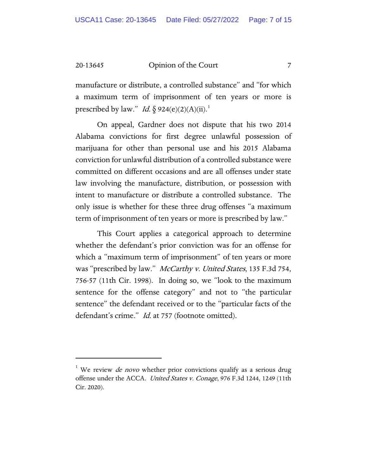manufacture or distribute, a controlled substance" and "for which a maximum term of imprisonment of ten years or more is prescribed by law." *Id.*  $\S$  924(e)(2)(A)(ii).<sup>[1](#page-6-0)</sup>

On appeal, Gardner does not dispute that his two 2014 Alabama convictions for first degree unlawful possession of marijuana for other than personal use and his 2015 Alabama conviction for unlawful distribution of a controlled substance were committed on different occasions and are all offenses under state law involving the manufacture, distribution, or possession with intent to manufacture or distribute a controlled substance. The only issue is whether for these three drug offenses "a maximum term of imprisonment of ten years or more is prescribed by law."

This Court applies a categorical approach to determine whether the defendant's prior conviction was for an offense for which a "maximum term of imprisonment" of ten years or more was "prescribed by law." McCarthy v. United States, 135 F.3d 754, 756-57 (11th Cir. 1998). In doing so, we "look to the maximum sentence for the offense category" and not to "the particular sentence" the defendant received or to the "particular facts of the defendant's crime." *Id.* at 757 (footnote omitted).

<span id="page-6-0"></span><sup>&</sup>lt;sup>1</sup> We review *de novo* whether prior convictions qualify as a serious drug offense under the ACCA. United States v. Conage, 976 F.3d 1244, 1249 (11th Cir. 2020).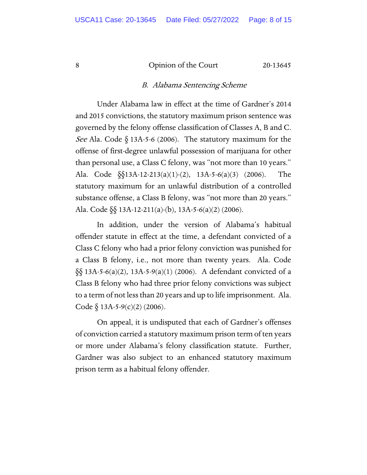#### B. Alabama Sentencing Scheme

Under Alabama law in effect at the time of Gardner's 2014 and 2015 convictions, the statutory maximum prison sentence was governed by the felony offense classification of Classes A, B and C. See Ala. Code  $\S$  13A-5-6 (2006). The statutory maximum for the offense of first-degree unlawful possession of marijuana for other than personal use, a Class C felony, was "not more than 10 years." Ala. Code §§13A-12-213(a)(1)-(2), 13A-5-6(a)(3) (2006). The statutory maximum for an unlawful distribution of a controlled substance offense, a Class B felony, was "not more than 20 years." Ala. Code §§ 13A-12-211(a)-(b), 13A-5-6(a)(2) (2006).

In addition, under the version of Alabama's habitual offender statute in effect at the time, a defendant convicted of a Class C felony who had a prior felony conviction was punished for a Class B felony, i.e., not more than twenty years. Ala. Code §§ 13A-5-6(a)(2), 13A-5-9(a)(1) (2006). A defendant convicted of a Class B felony who had three prior felony convictions was subject to a term of not less than 20 years and up to life imprisonment. Ala. Code  $\S$  13A-5-9(c)(2) (2006).

On appeal, it is undisputed that each of Gardner's offenses of conviction carried a statutory maximum prison term of ten years or more under Alabama's felony classification statute. Further, Gardner was also subject to an enhanced statutory maximum prison term as a habitual felony offender.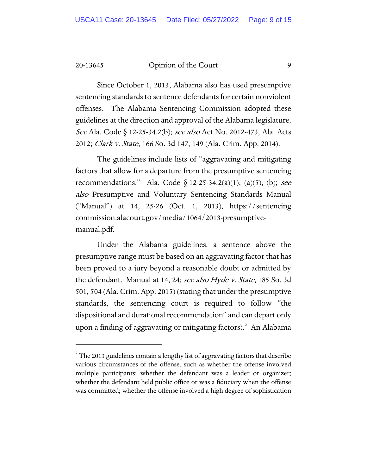Since October 1, 2013, Alabama also has used presumptive sentencing standards to sentence defendants for certain nonviolent offenses. The Alabama Sentencing Commission adopted these guidelines at the direction and approval of the Alabama legislature. See Ala. Code § 12-25-34.2(b); see also Act No. 2012-473, Ala. Acts 2012; Clark v. State, 166 So. 3d 147, 149 (Ala. Crim. App. 2014).

The guidelines include lists of "aggravating and mitigating factors that allow for a departure from the presumptive sentencing recommendations." Ala. Code  $\delta$  12-25-34.2(a)(1), (a)(5), (b); see also Presumptive and Voluntary Sentencing Standards Manual ("Manual") at 14, 25-26 (Oct. 1, 2013), https://sentencing commission.alacourt.gov/media/1064/2013-presumptivemanual.pdf.

Under the Alabama guidelines, a sentence above the presumptive range must be based on an aggravating factor that has been proved to a jury beyond a reasonable doubt or admitted by the defendant. Manual at 14, 24; see also Hyde v. State, 185 So. 3d 501, 504 (Ala. Crim. App. 2015) (stating that under the presumptive standards, the sentencing court is required to follow "the dispositional and durational recommendation" and can depart only upon a finding of aggravating or mitigating factors). [2](#page-8-0) An Alabama

<span id="page-8-0"></span> $^{\text{2}}$  The 2013 guidelines contain a lengthy list of aggravating factors that describe various circumstances of the offense, such as whether the offense involved multiple participants; whether the defendant was a leader or organizer; whether the defendant held public office or was a fiduciary when the offense was committed; whether the offense involved a high degree of sophistication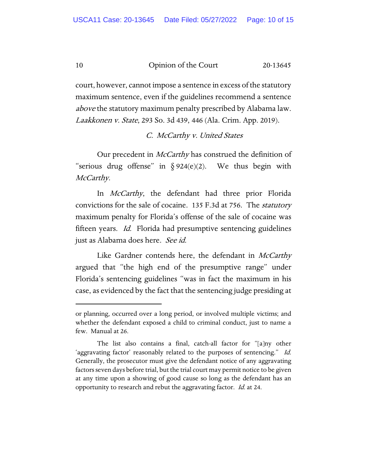court, however, cannot impose a sentence in excess of the statutory maximum sentence, even if the guidelines recommend a sentence above the statutory maximum penalty prescribed by Alabama law. Laakkonen v. State, 293 So. 3d 439, 446 (Ala. Crim. App. 2019).

#### C. McCarthy v. United States

Our precedent in *McCarthy* has construed the definition of "serious drug offense" in  $\S 924(e)(2)$ . We thus begin with McCarthy.

In *McCarthy*, the defendant had three prior Florida convictions for the sale of cocaine. 135 F.3d at 756. The *statutory* maximum penalty for Florida's offense of the sale of cocaine was fifteen years. Id. Florida had presumptive sentencing guidelines just as Alabama does here. See id.

Like Gardner contends here, the defendant in McCarthy argued that "the high end of the presumptive range" under Florida's sentencing guidelines "was in fact the maximum in his case, as evidenced by the fact that the sentencing judge presiding at

or planning, occurred over a long period, or involved multiple victims; and whether the defendant exposed a child to criminal conduct, just to name a few. Manual at 26.

The list also contains a final, catch-all factor for "[a]ny other 'aggravating factor' reasonably related to the purposes of sentencing." Id. Generally, the prosecutor must give the defendant notice of any aggravating factors seven days before trial, but the trial court may permit notice to be given at any time upon a showing of good cause so long as the defendant has an opportunity to research and rebut the aggravating factor. *Id.* at 24.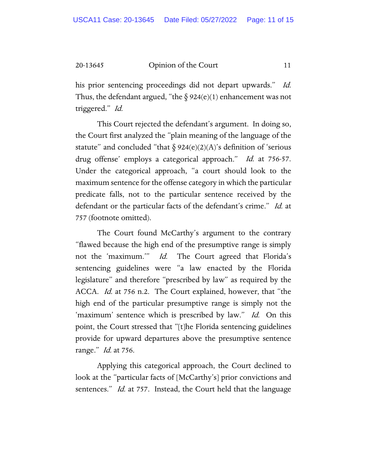his prior sentencing proceedings did not depart upwards." Id. Thus, the defendant argued, "the  $\S 924(e)(1)$  enhancement was not triggered." Id.

This Court rejected the defendant's argument. In doing so, the Court first analyzed the "plain meaning of the language of the statute" and concluded "that  $\S 924(e)(2)(A)$ 's definition of 'serious drug offense' employs a categorical approach." Id. at 756-57. Under the categorical approach, "a court should look to the maximum sentence for the offense category in which the particular predicate falls, not to the particular sentence received by the defendant or the particular facts of the defendant's crime." Id. at 757 (footnote omitted).

The Court found McCarthy's argument to the contrary "flawed because the high end of the presumptive range is simply not the 'maximum.'" Id. The Court agreed that Florida's sentencing guidelines were "a law enacted by the Florida legislature" and therefore "prescribed by law" as required by the ACCA. *Id.* at 756 n.2. The Court explained, however, that "the high end of the particular presumptive range is simply not the 'maximum' sentence which is prescribed by law." Id. On this point, the Court stressed that "[t]he Florida sentencing guidelines provide for upward departures above the presumptive sentence range." *Id.* at 756.

Applying this categorical approach, the Court declined to look at the "particular facts of [McCarthy's] prior convictions and sentences." *Id.* at 757. Instead, the Court held that the language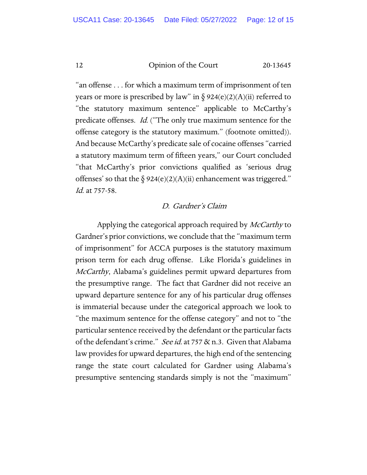"an offense . . . for which a maximum term of imprisonment of ten years or more is prescribed by law" in  $\S$  924(e)(2)(A)(ii) referred to "the statutory maximum sentence" applicable to McCarthy's predicate offenses. Id. ("The only true maximum sentence for the offense category is the statutory maximum." (footnote omitted)). And because McCarthy's predicate sale of cocaine offenses "carried a statutory maximum term of fifteen years," our Court concluded "that McCarthy's prior convictions qualified as 'serious drug offenses' so that the  $\S 924(e)(2)(A)(ii)$  enhancement was triggered." Id. at 757-58.

## D. Gardner's Claim

Applying the categorical approach required by *McCarthy* to Gardner's prior convictions, we conclude that the "maximum term of imprisonment" for ACCA purposes is the statutory maximum prison term for each drug offense. Like Florida's guidelines in McCarthy, Alabama's guidelines permit upward departures from the presumptive range. The fact that Gardner did not receive an upward departure sentence for any of his particular drug offenses is immaterial because under the categorical approach we look to "the maximum sentence for the offense category" and not to "the particular sentence received by the defendant or the particular facts of the defendant's crime." See id. at 757 & n.3. Given that Alabama law provides for upward departures, the high end of the sentencing range the state court calculated for Gardner using Alabama's presumptive sentencing standards simply is not the "maximum"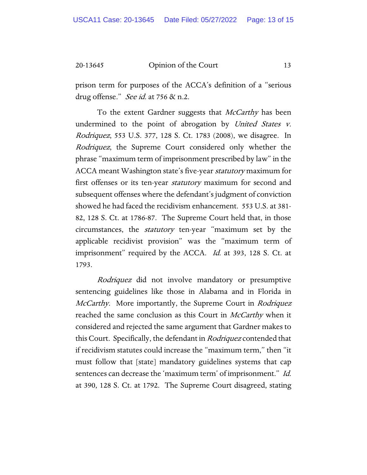prison term for purposes of the ACCA's definition of a "serious drug offense." See id. at 756 & n.2.

To the extent Gardner suggests that *McCarthy* has been undermined to the point of abrogation by United States v. Rodriquez, 553 U.S. 377, 128 S. Ct. 1783 (2008), we disagree. In *Rodriquez*, the Supreme Court considered only whether the phrase "maximum term of imprisonment prescribed by law" in the ACCA meant Washington state's five-year *statutory* maximum for first offenses or its ten-year *statutory* maximum for second and subsequent offenses where the defendant's judgment of conviction showed he had faced the recidivism enhancement. 553 U.S. at 381- 82, 128 S. Ct. at 1786-87. The Supreme Court held that, in those circumstances, the statutory ten-year "maximum set by the applicable recidivist provision" was the "maximum term of imprisonment" required by the ACCA. *Id.* at 393, 128 S. Ct. at 1793.

Rodriquez did not involve mandatory or presumptive sentencing guidelines like those in Alabama and in Florida in McCarthy. More importantly, the Supreme Court in Rodriquez reached the same conclusion as this Court in *McCarthy* when it considered and rejected the same argument that Gardner makes to this Court. Specifically, the defendant in Rodriquez contended that if recidivism statutes could increase the "maximum term," then "it must follow that [state] mandatory guidelines systems that cap sentences can decrease the 'maximum term' of imprisonment." Id. at 390, 128 S. Ct. at 1792. The Supreme Court disagreed, stating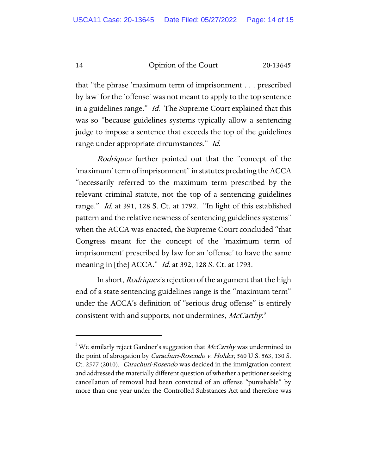that "the phrase 'maximum term of imprisonment . . . prescribed by law' for the 'offense' was not meant to apply to the top sentence in a guidelines range." Id. The Supreme Court explained that this was so "because guidelines systems typically allow a sentencing judge to impose a sentence that exceeds the top of the guidelines range under appropriate circumstances." Id.

Rodriquez further pointed out that the "concept of the 'maximum' term of imprisonment" in statutes predating the ACCA "necessarily referred to the maximum term prescribed by the relevant criminal statute, not the top of a sentencing guidelines range." *Id.* at 391, 128 S. Ct. at 1792. "In light of this established pattern and the relative newness of sentencing guidelines systems" when the ACCA was enacted, the Supreme Court concluded "that Congress meant for the concept of the 'maximum term of imprisonment' prescribed by law for an 'offense' to have the same meaning in [the] ACCA." *Id.* at 392, 128 S. Ct. at 1793.

In short, *Rodriquez'*s rejection of the argument that the high end of a state sentencing guidelines range is the "maximum term" under the ACCA's definition of "serious drug offense" is entirely consistent with and supports, not undermines, McCarthy.<sup>[3](#page-13-0)</sup>

<span id="page-13-0"></span> $^3$ We similarly reject Gardner's suggestion that *McCarthy* was undermined to the point of abrogation by Carachuri-Rosendo v. Holder, 560 U.S. 563, 130 S. Ct. 2577 (2010). Carachuri-Rosendo was decided in the immigration context and addressed the materially different question of whether a petitioner seeking cancellation of removal had been convicted of an offense "punishable" by more than one year under the Controlled Substances Act and therefore was